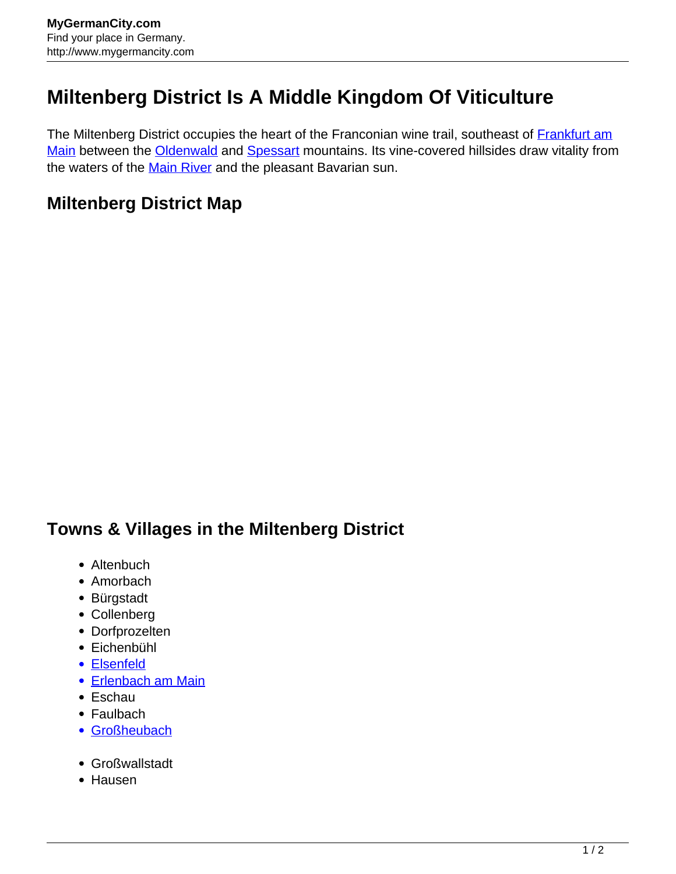## **Miltenberg District Is A Middle Kingdom Of Viticulture**

The Miltenberg District occupies the heart of the Franconian wine trail, southeast of **[Frankfurt am](http://www.mygermancity.com/frankfurt)** [Main](http://www.mygermancity.com/frankfurt) between the [Oldenwald](http://www.mygermancity.com/odenwald) and [Spessart](http://www.mygermancity.com/spessart) mountains. Its vine-covered hillsides draw vitality from the waters of the [Main River](http://www.mygermancity.com/main) and the pleasant Bavarian sun.

## **Miltenberg District Map**

## **Towns & Villages in the Miltenberg District**

- Altenbuch
- Amorbach
- Bürgstadt
- Collenberg
- Dorfprozelten
- Eichenbühl
- [Elsenfeld](http://www.mygermancity.com/elsenfeld)
- [Erlenbach am Main](http://www.mygermancity.com/erlenbach-main)
- Eschau
- Faulbach
- [Großheubach](http://www.mygermancity.com/grossheubach)
- Großwallstadt
- Hausen